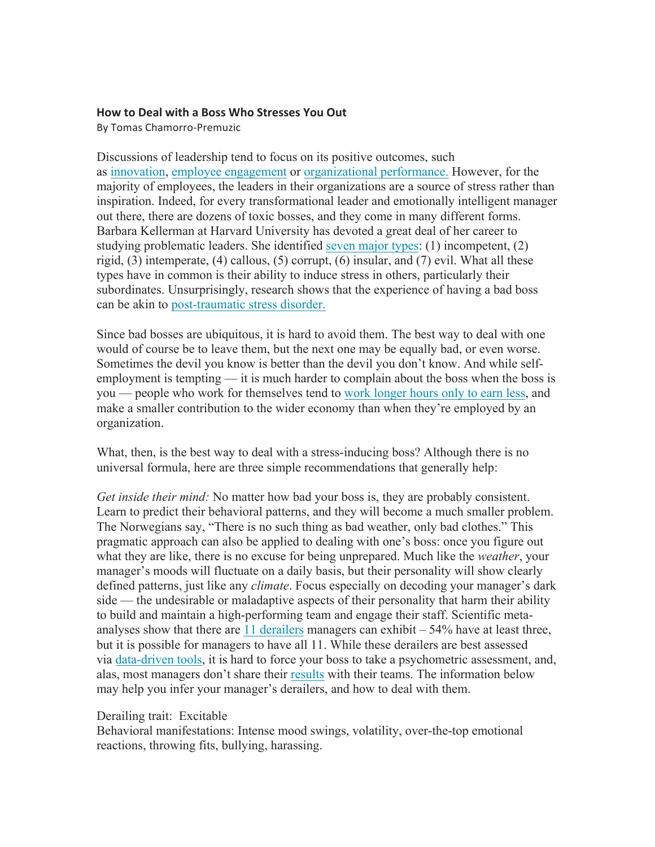## **How to Deal with a Boss Who Stresses You Out**

By Tomas Chamorro-Premuzic

Discussions of leadership tend to focus on its positive outcomes, such as innovation, employee engagement or organizational performance. However, for the majority of employees, the leaders in their organizations are a source of stress rather than inspiration. Indeed, for every transformational leader and emotionally intelligent manager out there, there are dozens of toxic bosses, and they come in many different forms. Barbara Kellerman at Harvard University has devoted a great deal of her career to studying problematic leaders. She identified seven major types: (1) incompetent, (2) rigid, (3) intemperate, (4) callous, (5) corrupt, (6) insular, and (7) evil. What all these types have in common is their ability to induce stress in others, particularly their subordinates. Unsurprisingly, research shows that the experience of having a bad boss can be akin to post-traumatic stress disorder.

Since bad bosses are ubiquitous, it is hard to avoid them. The best way to deal with one would of course be to leave them, but the next one may be equally bad, or even worse. Sometimes the devil you know is better than the devil you don't know. And while selfemployment is tempting — it is much harder to complain about the boss when the boss is you — people who work for themselves tend to work longer hours only to earn less, and make a smaller contribution to the wider economy than when they're employed by an organization.

What, then, is the best way to deal with a stress-inducing boss? Although there is no universal formula, here are three simple recommendations that generally help:

*Get inside their mind:* No matter how bad your boss is, they are probably consistent. Learn to predict their behavioral patterns, and they will become a much smaller problem. The Norwegians say, "There is no such thing as bad weather, only bad clothes." This pragmatic approach can also be applied to dealing with one's boss: once you figure out what they are like, there is no excuse for being unprepared. Much like the *weather*, your manager's moods will fluctuate on a daily basis, but their personality will show clearly defined patterns, just like any *climate*. Focus especially on decoding your manager's dark side — the undesirable or maladaptive aspects of their personality that harm their ability to build and maintain a high-performing team and engage their staff. Scientific metaanalyses show that there are 11 derailers managers can exhibit – 54% have at least three, but it is possible for managers to have all 11. While these derailers are best assessed via data-driven tools, it is hard to force your boss to take a psychometric assessment, and, alas, most managers don't share their results with their teams. The information below may help you infer your manager's derailers, and how to deal with them.

## Derailing trait: Excitable

Behavioral manifestations: Intense mood swings, volatility, over-the-top emotional reactions, throwing fits, bullying, harassing.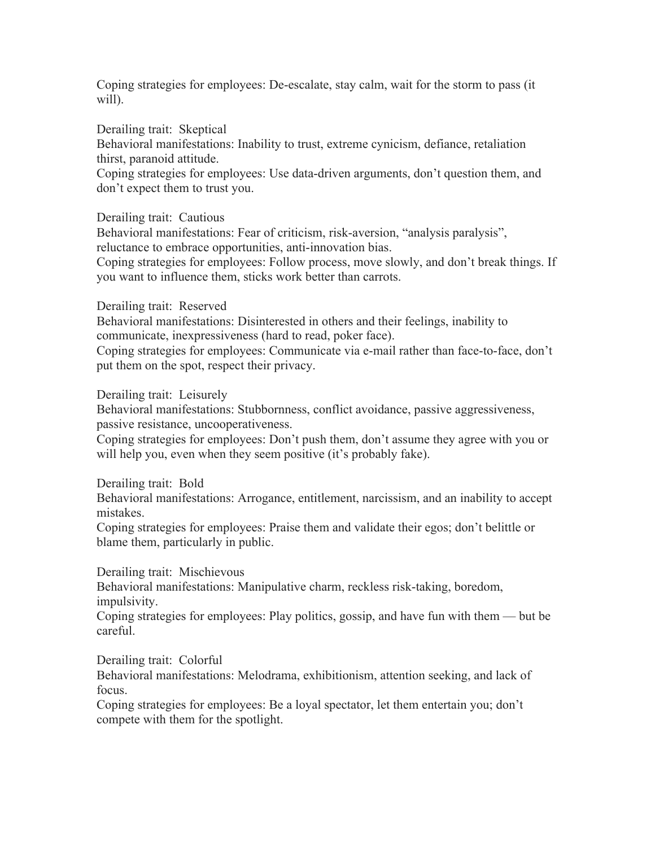Coping strategies for employees: De-escalate, stay calm, wait for the storm to pass (it will).

Derailing trait: Skeptical

Behavioral manifestations: Inability to trust, extreme cynicism, defiance, retaliation thirst, paranoid attitude.

Coping strategies for employees: Use data-driven arguments, don't question them, and don't expect them to trust you.

Derailing trait: Cautious

Behavioral manifestations: Fear of criticism, risk-aversion, "analysis paralysis", reluctance to embrace opportunities, anti-innovation bias.

Coping strategies for employees: Follow process, move slowly, and don't break things. If you want to influence them, sticks work better than carrots.

## Derailing trait: Reserved

Behavioral manifestations: Disinterested in others and their feelings, inability to communicate, inexpressiveness (hard to read, poker face).

Coping strategies for employees: Communicate via e-mail rather than face-to-face, don't put them on the spot, respect their privacy.

Derailing trait: Leisurely

Behavioral manifestations: Stubbornness, conflict avoidance, passive aggressiveness, passive resistance, uncooperativeness.

Coping strategies for employees: Don't push them, don't assume they agree with you or will help you, even when they seem positive (it's probably fake).

Derailing trait: Bold

Behavioral manifestations: Arrogance, entitlement, narcissism, and an inability to accept mistakes.

Coping strategies for employees: Praise them and validate their egos; don't belittle or blame them, particularly in public.

Derailing trait: Mischievous

Behavioral manifestations: Manipulative charm, reckless risk-taking, boredom, impulsivity.

Coping strategies for employees: Play politics, gossip, and have fun with them — but be careful.

Derailing trait: Colorful

Behavioral manifestations: Melodrama, exhibitionism, attention seeking, and lack of focus.

Coping strategies for employees: Be a loyal spectator, let them entertain you; don't compete with them for the spotlight.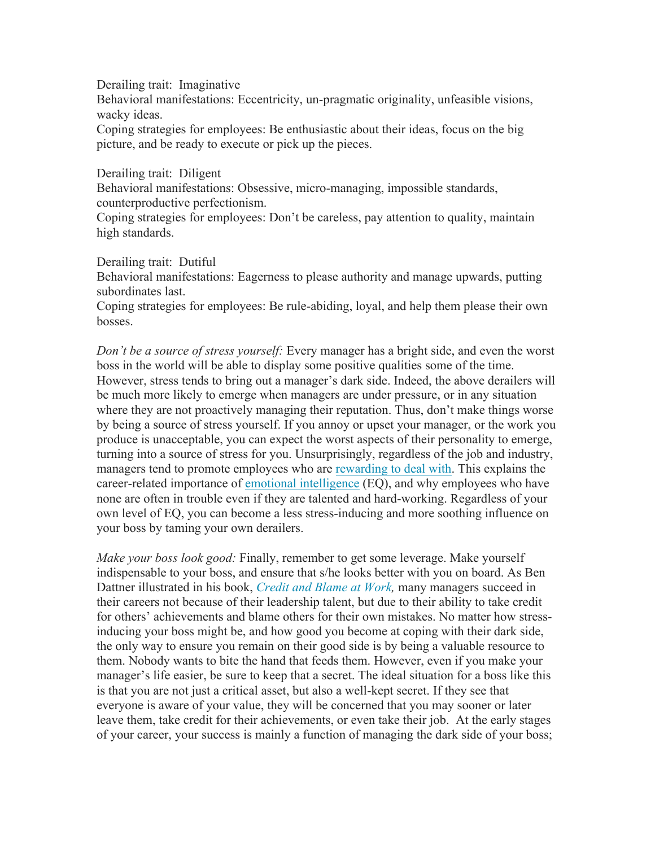Derailing trait: Imaginative

Behavioral manifestations: Eccentricity, un-pragmatic originality, unfeasible visions, wacky ideas.

Coping strategies for employees: Be enthusiastic about their ideas, focus on the big picture, and be ready to execute or pick up the pieces.

Derailing trait: Diligent

Behavioral manifestations: Obsessive, micro-managing, impossible standards, counterproductive perfectionism.

Coping strategies for employees: Don't be careless, pay attention to quality, maintain high standards.

Derailing trait: Dutiful

Behavioral manifestations: Eagerness to please authority and manage upwards, putting subordinates last.

Coping strategies for employees: Be rule-abiding, loyal, and help them please their own bosses.

*Don't be a source of stress yourself:* Every manager has a bright side, and even the worst boss in the world will be able to display some positive qualities some of the time. However, stress tends to bring out a manager's dark side. Indeed, the above derailers will be much more likely to emerge when managers are under pressure, or in any situation where they are not proactively managing their reputation. Thus, don't make things worse by being a source of stress yourself. If you annoy or upset your manager, or the work you produce is unacceptable, you can expect the worst aspects of their personality to emerge, turning into a source of stress for you. Unsurprisingly, regardless of the job and industry, managers tend to promote employees who are rewarding to deal with. This explains the career-related importance of emotional intelligence (EQ), and why employees who have none are often in trouble even if they are talented and hard-working. Regardless of your own level of EQ, you can become a less stress-inducing and more soothing influence on your boss by taming your own derailers.

*Make your boss look good:* Finally, remember to get some leverage. Make yourself indispensable to your boss, and ensure that s/he looks better with you on board. As Ben Dattner illustrated in his book, *Credit and Blame at Work,* many managers succeed in their careers not because of their leadership talent, but due to their ability to take credit for others' achievements and blame others for their own mistakes. No matter how stressinducing your boss might be, and how good you become at coping with their dark side, the only way to ensure you remain on their good side is by being a valuable resource to them. Nobody wants to bite the hand that feeds them. However, even if you make your manager's life easier, be sure to keep that a secret. The ideal situation for a boss like this is that you are not just a critical asset, but also a well-kept secret. If they see that everyone is aware of your value, they will be concerned that you may sooner or later leave them, take credit for their achievements, or even take their job. At the early stages of your career, your success is mainly a function of managing the dark side of your boss;